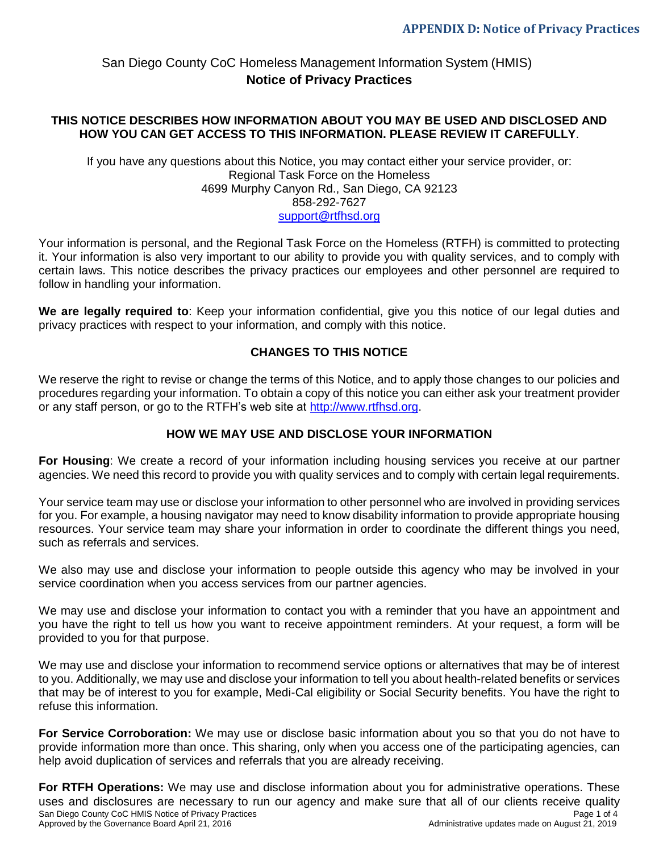### **THIS NOTICE DESCRIBES HOW INFORMATION ABOUT YOU MAY BE USED AND DISCLOSED AND HOW YOU CAN GET ACCESS TO THIS INFORMATION. PLEASE REVIEW IT CAREFULLY**.

If you have any questions about this Notice, you may contact either your service provider, or: Regional Task Force on the Homeless 4699 Murphy Canyon Rd., San Diego, CA 92123 858-292-7627 [support@rtfhsd.org](mailto:support@rtfhsd.org)

Your information is personal, and the Regional Task Force on the Homeless (RTFH) is committed to protecting it. Your information is also very important to our ability to provide you with quality services, and to comply with certain laws. This notice describes the privacy practices our employees and other personnel are required to follow in handling your information.

**We are legally required to**: Keep your information confidential, give you this notice of our legal duties and privacy practices with respect to your information, and comply with this notice.

### **CHANGES TO THIS NOTICE**

We reserve the right to revise or change the terms of this Notice, and to apply those changes to our policies and procedures regarding your information. To obtain a copy of this notice you can either ask your treatment provider or any staff person, or go to the RTFH's web site at [http://www.rtfhsd.org.](file://///RTFHSD-SERVER/Public/HMIS/1_NEWH~1/HMISAD~1/POLICI~1/POLICI~1/HMISPO~1/P&PV12~1.201/APPEND~1/rtfhsd.org)

### **HOW WE MAY USE AND DISCLOSE YOUR INFORMATION**

**For Housing**: We create a record of your information including housing services you receive at our partner agencies. We need this record to provide you with quality services and to comply with certain legal requirements.

Your service team may use or disclose your information to other personnel who are involved in providing services for you. For example, a housing navigator may need to know disability information to provide appropriate housing resources. Your service team may share your information in order to coordinate the different things you need, such as referrals and services.

We also may use and disclose your information to people outside this agency who may be involved in your service coordination when you access services from our partner agencies.

We may use and disclose your information to contact you with a reminder that you have an appointment and you have the right to tell us how you want to receive appointment reminders. At your request, a form will be provided to you for that purpose.

We may use and disclose your information to recommend service options or alternatives that may be of interest to you. Additionally, we may use and disclose your information to tell you about health-related benefits or services that may be of interest to you for example, Medi-Cal eligibility or Social Security benefits. You have the right to refuse this information.

**For Service Corroboration:** We may use or disclose basic information about you so that you do not have to provide information more than once. This sharing, only when you access one of the participating agencies, can help avoid duplication of services and referrals that you are already receiving.

San Diego County CoC HMIS Notice of Privacy Practices<br>Approved by the Governance Board April 21, 2016 **Proved by the Governance Board April 21, 2016** Page 1 of 4 Approved by the Governance Board April 21, 2016 **For RTFH Operations:** We may use and disclose information about you for administrative operations. These uses and disclosures are necessary to run our agency and make sure that all of our clients receive quality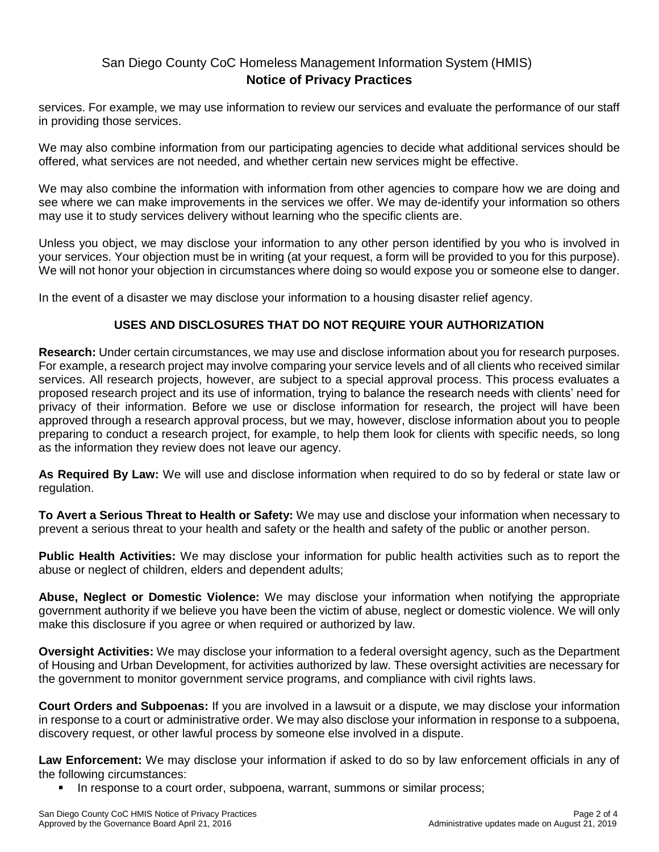services. For example, we may use information to review our services and evaluate the performance of our staff in providing those services.

We may also combine information from our participating agencies to decide what additional services should be offered, what services are not needed, and whether certain new services might be effective.

We may also combine the information with information from other agencies to compare how we are doing and see where we can make improvements in the services we offer. We may de-identify your information so others may use it to study services delivery without learning who the specific clients are.

Unless you object, we may disclose your information to any other person identified by you who is involved in your services. Your objection must be in writing (at your request, a form will be provided to you for this purpose). We will not honor your objection in circumstances where doing so would expose you or someone else to danger.

In the event of a disaster we may disclose your information to a housing disaster relief agency.

## **USES AND DISCLOSURES THAT DO NOT REQUIRE YOUR AUTHORIZATION**

**Research:** Under certain circumstances, we may use and disclose information about you for research purposes. For example, a research project may involve comparing your service levels and of all clients who received similar services. All research projects, however, are subject to a special approval process. This process evaluates a proposed research project and its use of information, trying to balance the research needs with clients' need for privacy of their information. Before we use or disclose information for research, the project will have been approved through a research approval process, but we may, however, disclose information about you to people preparing to conduct a research project, for example, to help them look for clients with specific needs, so long as the information they review does not leave our agency.

**As Required By Law:** We will use and disclose information when required to do so by federal or state law or regulation.

**To Avert a Serious Threat to Health or Safety:** We may use and disclose your information when necessary to prevent a serious threat to your health and safety or the health and safety of the public or another person.

**Public Health Activities:** We may disclose your information for public health activities such as to report the abuse or neglect of children, elders and dependent adults;

**Abuse, Neglect or Domestic Violence:** We may disclose your information when notifying the appropriate government authority if we believe you have been the victim of abuse, neglect or domestic violence. We will only make this disclosure if you agree or when required or authorized by law.

**Oversight Activities:** We may disclose your information to a federal oversight agency, such as the Department of Housing and Urban Development, for activities authorized by law. These oversight activities are necessary for the government to monitor government service programs, and compliance with civil rights laws.

**Court Orders and Subpoenas:** If you are involved in a lawsuit or a dispute, we may disclose your information in response to a court or administrative order. We may also disclose your information in response to a subpoena, discovery request, or other lawful process by someone else involved in a dispute.

**Law Enforcement:** We may disclose your information if asked to do so by law enforcement officials in any of the following circumstances:

In response to a court order, subpoena, warrant, summons or similar process;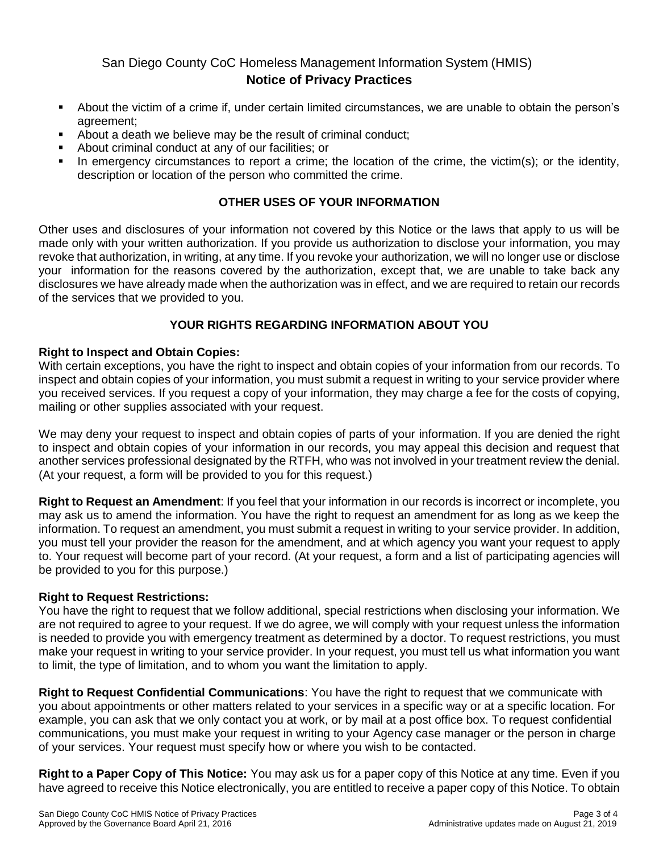- About the victim of a crime if, under certain limited circumstances, we are unable to obtain the person's agreement;
- About a death we believe may be the result of criminal conduct;
- About criminal conduct at any of our facilities; or
- In emergency circumstances to report a crime; the location of the crime, the victim(s); or the identity, description or location of the person who committed the crime.

## **OTHER USES OF YOUR INFORMATION**

Other uses and disclosures of your information not covered by this Notice or the laws that apply to us will be made only with your written authorization. If you provide us authorization to disclose your information, you may revoke that authorization, in writing, at any time. If you revoke your authorization, we will no longer use or disclose your information for the reasons covered by the authorization, except that, we are unable to take back any disclosures we have already made when the authorization was in effect, and we are required to retain our records of the services that we provided to you.

## **YOUR RIGHTS REGARDING INFORMATION ABOUT YOU**

### **Right to Inspect and Obtain Copies:**

With certain exceptions, you have the right to inspect and obtain copies of your information from our records. To inspect and obtain copies of your information, you must submit a request in writing to your service provider where you received services. If you request a copy of your information, they may charge a fee for the costs of copying, mailing or other supplies associated with your request.

We may deny your request to inspect and obtain copies of parts of your information. If you are denied the right to inspect and obtain copies of your information in our records, you may appeal this decision and request that another services professional designated by the RTFH, who was not involved in your treatment review the denial. (At your request, a form will be provided to you for this request.)

**Right to Request an Amendment**: If you feel that your information in our records is incorrect or incomplete, you may ask us to amend the information. You have the right to request an amendment for as long as we keep the information. To request an amendment, you must submit a request in writing to your service provider. In addition, you must tell your provider the reason for the amendment, and at which agency you want your request to apply to. Your request will become part of your record. (At your request, a form and a list of participating agencies will be provided to you for this purpose.)

### **Right to Request Restrictions:**

You have the right to request that we follow additional, special restrictions when disclosing your information. We are not required to agree to your request. If we do agree, we will comply with your request unless the information is needed to provide you with emergency treatment as determined by a doctor. To request restrictions, you must make your request in writing to your service provider. In your request, you must tell us what information you want to limit, the type of limitation, and to whom you want the limitation to apply.

**Right to Request Confidential Communications**: You have the right to request that we communicate with you about appointments or other matters related to your services in a specific way or at a specific location. For example, you can ask that we only contact you at work, or by mail at a post office box. To request confidential communications, you must make your request in writing to your Agency case manager or the person in charge of your services. Your request must specify how or where you wish to be contacted.

**Right to a Paper Copy of This Notice:** You may ask us for a paper copy of this Notice at any time. Even if you have agreed to receive this Notice electronically, you are entitled to receive a paper copy of this Notice. To obtain